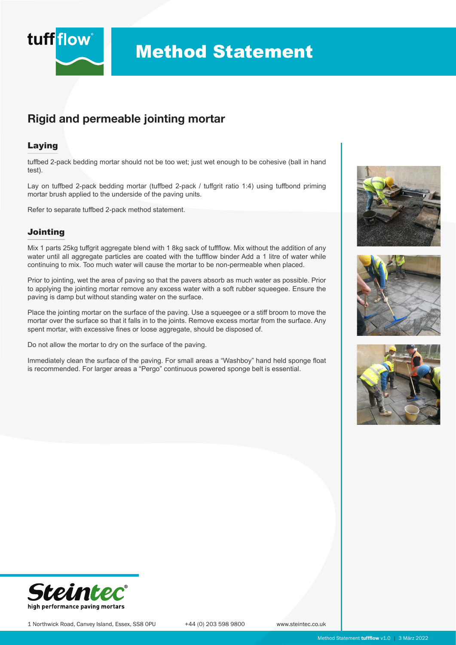

# Method Statement

## Rigid and permeable jointing mortar

### Laying

tuffbed 2-pack bedding mortar should not be too wet; just wet enough to be cohesive (ball in hand test).

Lay on tuffbed 2-pack bedding mortar (tuffbed 2-pack / tuffgrit ratio 1:4) using tuffbond priming mortar brush applied to the underside of the paving units.

Refer to separate tuffbed 2-pack method statement.

### Jointing

Mix 1 parts 25kg tuffgrit aggregate blend with 1 8kg sack of tuffflow. Mix without the addition of any water until all aggregate particles are coated with the tuffflow binder Add a 1 litre of water while continuing to mix. Too much water will cause the mortar to be non-permeable when placed.

Prior to jointing, wet the area of paving so that the pavers absorb as much water as possible. Prior to applying the jointing mortar remove any excess water with a soft rubber squeegee. Ensure the paving is damp but without standing water on the surface.

Place the jointing mortar on the surface of the paving. Use a squeegee or a stiff broom to move the mortar over the surface so that it falls in to the joints. Remove excess mortar from the surface. Any spent mortar, with excessive fines or loose aggregate, should be disposed of.

Do not allow the mortar to dry on the surface of the paving.

Immediately clean the surface of the paving. For small areas a "Washboy" hand held sponge float is recommended. For larger areas a "Pergo" continuous powered sponge belt is essential.









1 Northwick Road, Canvey Island, Essex, SS8 0PU +44 (0) 203 598 9800 www.steintec.co.uk